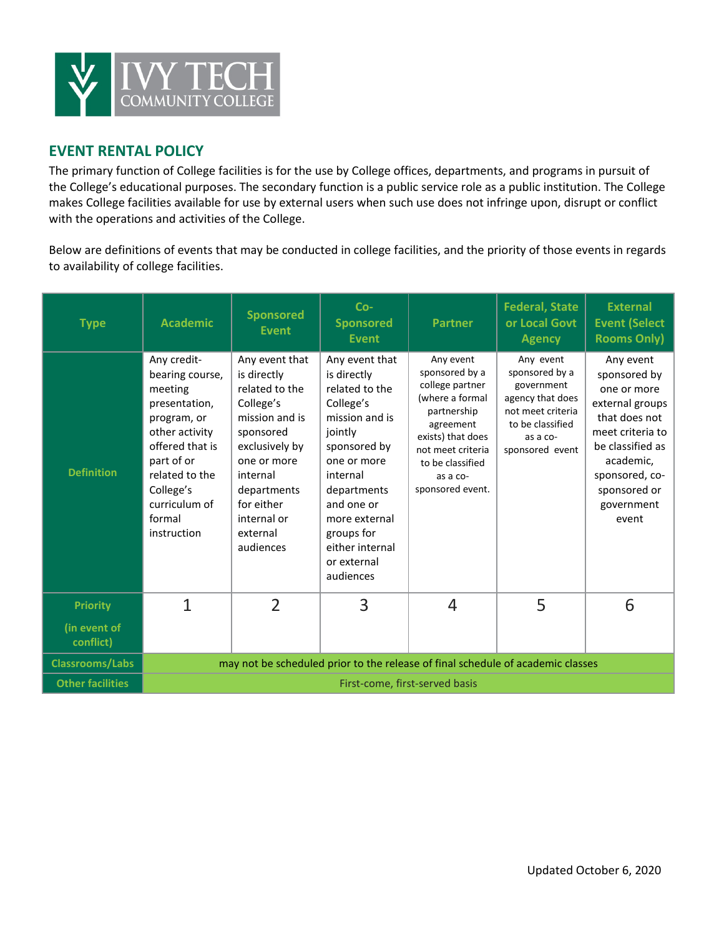

# **EVENT RENTAL POLICY**

The primary function of College facilities is for the use by College offices, departments, and programs in pursuit of the College's educational purposes. The secondary function is a public service role as a public institution. The College makes College facilities available for use by external users when such use does not infringe upon, disrupt or conflict with the operations and activities of the College.

Below are definitions of events that may be conducted in college facilities, and the priority of those events in regards to availability of college facilities.

| <b>Type</b>               | <b>Academic</b>                                                                                                                                                                                       | <b>Sponsored</b><br><b>Event</b>                                                                                                                                                                              | $Co-$<br><b>Sponsored</b><br><b>Event</b>                                                                                                                                                                                                       | <b>Partner</b>                                                                                                                                                                              | <b>Federal, State</b><br>or Local Govt<br><b>Agency</b>                                                                               | <b>External</b><br><b>Event (Select</b><br><b>Rooms Only)</b>                                                                                                                              |  |
|---------------------------|-------------------------------------------------------------------------------------------------------------------------------------------------------------------------------------------------------|---------------------------------------------------------------------------------------------------------------------------------------------------------------------------------------------------------------|-------------------------------------------------------------------------------------------------------------------------------------------------------------------------------------------------------------------------------------------------|---------------------------------------------------------------------------------------------------------------------------------------------------------------------------------------------|---------------------------------------------------------------------------------------------------------------------------------------|--------------------------------------------------------------------------------------------------------------------------------------------------------------------------------------------|--|
| <b>Definition</b>         | Any credit-<br>bearing course,<br>meeting<br>presentation,<br>program, or<br>other activity<br>offered that is<br>part of or<br>related to the<br>College's<br>curriculum of<br>formal<br>instruction | Any event that<br>is directly<br>related to the<br>College's<br>mission and is<br>sponsored<br>exclusively by<br>one or more<br>internal<br>departments<br>for either<br>internal or<br>external<br>audiences | Any event that<br>is directly<br>related to the<br>College's<br>mission and is<br>jointly<br>sponsored by<br>one or more<br>internal<br>departments<br>and one or<br>more external<br>groups for<br>either internal<br>or external<br>audiences | Any event<br>sponsored by a<br>college partner<br>(where a formal<br>partnership<br>agreement<br>exists) that does<br>not meet criteria<br>to be classified<br>as a co-<br>sponsored event. | Any event<br>sponsored by a<br>government<br>agency that does<br>not meet criteria<br>to be classified<br>as a co-<br>sponsored event | Any event<br>sponsored by<br>one or more<br>external groups<br>that does not<br>meet criteria to<br>be classified as<br>academic,<br>sponsored, co-<br>sponsored or<br>government<br>event |  |
| <b>Priority</b>           | 1                                                                                                                                                                                                     | $\mathfrak{D}$                                                                                                                                                                                                | 3                                                                                                                                                                                                                                               | 4                                                                                                                                                                                           | 5                                                                                                                                     | 6                                                                                                                                                                                          |  |
| (in event of<br>conflict) |                                                                                                                                                                                                       |                                                                                                                                                                                                               |                                                                                                                                                                                                                                                 |                                                                                                                                                                                             |                                                                                                                                       |                                                                                                                                                                                            |  |
| <b>Classrooms/Labs</b>    |                                                                                                                                                                                                       | may not be scheduled prior to the release of final schedule of academic classes                                                                                                                               |                                                                                                                                                                                                                                                 |                                                                                                                                                                                             |                                                                                                                                       |                                                                                                                                                                                            |  |
| <b>Other facilities</b>   | First-come, first-served basis                                                                                                                                                                        |                                                                                                                                                                                                               |                                                                                                                                                                                                                                                 |                                                                                                                                                                                             |                                                                                                                                       |                                                                                                                                                                                            |  |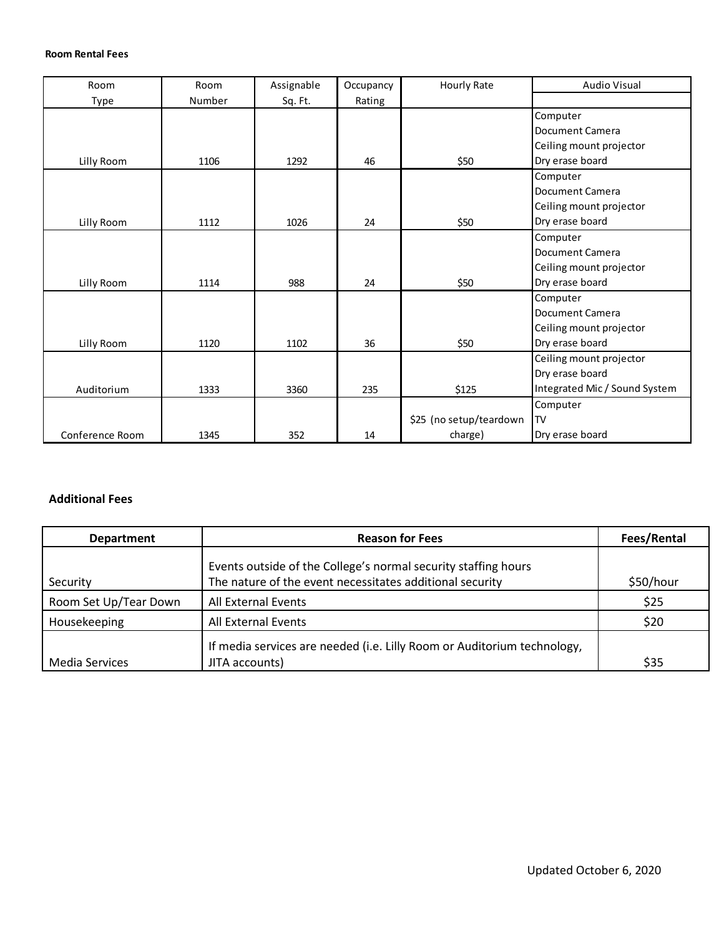### **Room Rental Fees**

| Room            | Room   | Assignable | Occupancy | <b>Hourly Rate</b>      | <b>Audio Visual</b>           |
|-----------------|--------|------------|-----------|-------------------------|-------------------------------|
| Type            | Number | Sq. Ft.    | Rating    |                         |                               |
|                 |        |            |           |                         | Computer                      |
|                 |        |            |           |                         | Document Camera               |
|                 |        |            |           |                         | Ceiling mount projector       |
| Lilly Room      | 1106   | 1292       | 46        | \$50                    | Dry erase board               |
|                 |        |            |           |                         | Computer                      |
|                 |        |            |           |                         | <b>Document Camera</b>        |
|                 |        |            |           |                         | Ceiling mount projector       |
| Lilly Room      | 1112   | 1026       | 24        | \$50                    | Dry erase board               |
|                 |        |            |           |                         | Computer                      |
|                 |        |            |           |                         | <b>Document Camera</b>        |
|                 |        |            |           |                         | Ceiling mount projector       |
| Lilly Room      | 1114   | 988        | 24        | \$50                    | Dry erase board               |
|                 |        |            |           |                         | Computer                      |
|                 |        |            |           |                         | <b>Document Camera</b>        |
|                 |        |            |           |                         | Ceiling mount projector       |
| Lilly Room      | 1120   | 1102       | 36        | \$50                    | Dry erase board               |
|                 |        |            |           |                         | Ceiling mount projector       |
|                 |        |            |           |                         | Dry erase board               |
| Auditorium      | 1333   | 3360       | 235       | \$125                   | Integrated Mic / Sound System |
|                 |        |            |           |                         | Computer                      |
|                 |        |            |           | \$25 (no setup/teardown | <b>ITV</b>                    |
| Conference Room | 1345   | 352        | 14        | charge)                 | Dry erase board               |

### **Additional Fees**

| <b>Department</b>     | <b>Reason for Fees</b>                                                                                                     | Fees/Rental |
|-----------------------|----------------------------------------------------------------------------------------------------------------------------|-------------|
| Security              | Events outside of the College's normal security staffing hours<br>The nature of the event necessitates additional security | \$50/hour   |
| Room Set Up/Tear Down | All External Events                                                                                                        | \$25        |
| Housekeeping          | All External Events                                                                                                        | \$20        |
| Media Services        | If media services are needed (i.e. Lilly Room or Auditorium technology,<br>JITA accounts)                                  | \$35        |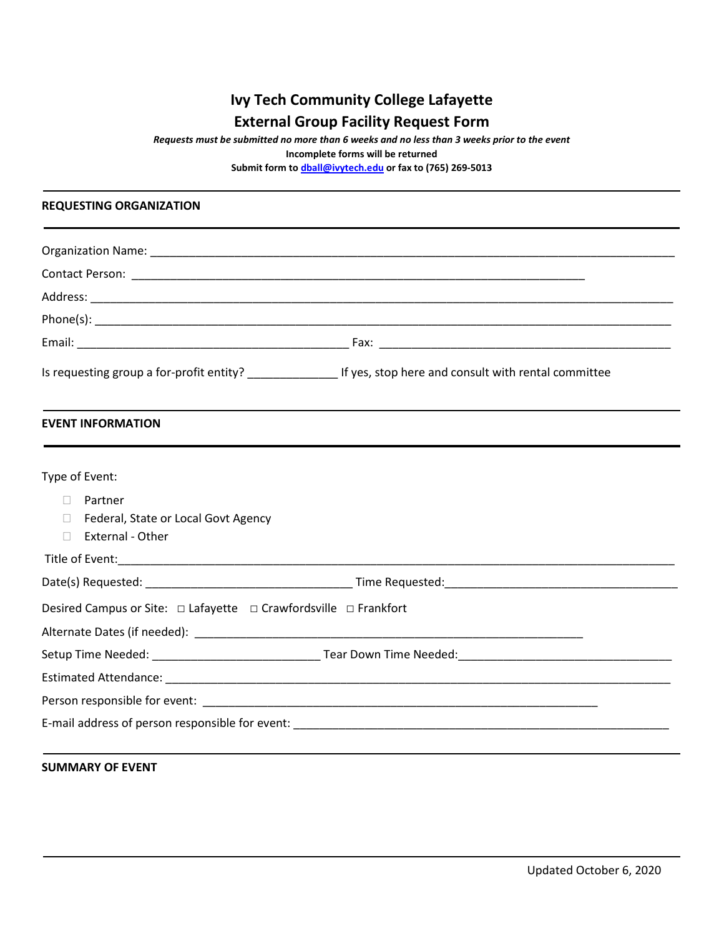# **Ivy Tech Community College Lafayette External Group Facility Request Form**

*Requests must be submitted no more than 6 weeks and no less than 3 weeks prior to the event*

**Incomplete forms will be returned** 

**Submit form to dball@ivytech.edu or fax to (765) 269-5013** 

#### **REQUESTING ORGANIZATION**

| <b>EVENT INFORMATION</b>                                                  |  |  |  |  |  |
|---------------------------------------------------------------------------|--|--|--|--|--|
| Type of Event:                                                            |  |  |  |  |  |
| Partner<br>$\Box$                                                         |  |  |  |  |  |
| Federal, State or Local Govt Agency<br>П<br><b>External - Other</b><br>П. |  |  |  |  |  |
|                                                                           |  |  |  |  |  |
|                                                                           |  |  |  |  |  |
| Desired Campus or Site: □ Lafayette □ Crawfordsville □ Frankfort          |  |  |  |  |  |
|                                                                           |  |  |  |  |  |
|                                                                           |  |  |  |  |  |
|                                                                           |  |  |  |  |  |
|                                                                           |  |  |  |  |  |
|                                                                           |  |  |  |  |  |
|                                                                           |  |  |  |  |  |

## **SUMMARY OF EVENT**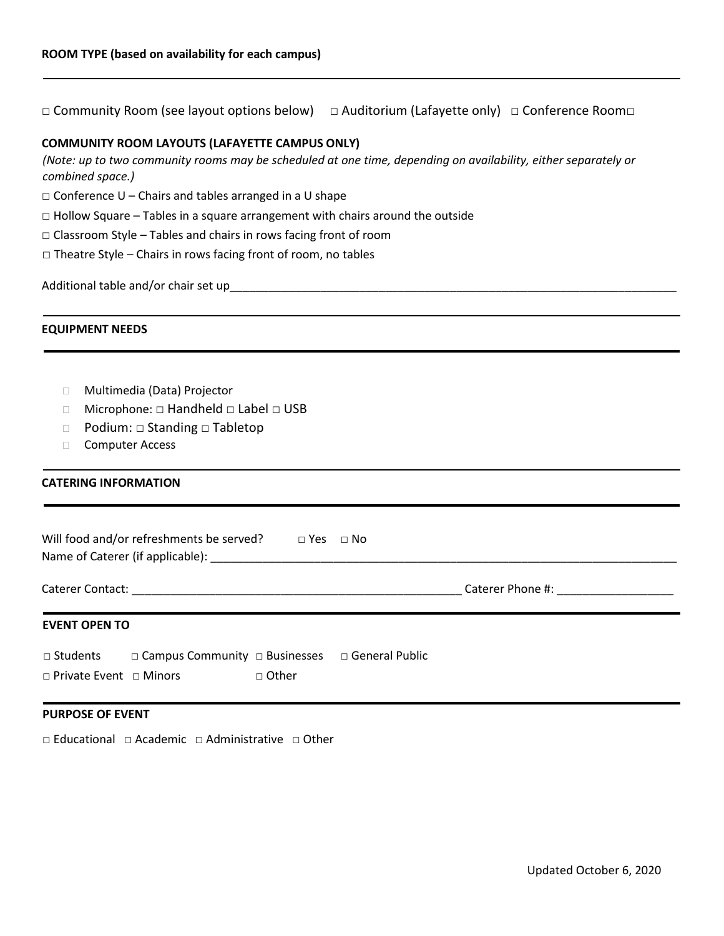□ Community Room (see layout options below) □ Auditorium (Lafayette only) □ Conference Room□

### **COMMUNITY ROOM LAYOUTS (LAFAYETTE CAMPUS ONLY)**

*(Note: up to two community rooms may be scheduled at one time, depending on availability, either separately or combined space.)*

 $\square$  Conference U – Chairs and tables arranged in a U shape

 $\Box$  Hollow Square – Tables in a square arrangement with chairs around the outside

- □ Classroom Style Tables and chairs in rows facing front of room
- □ Theatre Style Chairs in rows facing front of room, no tables

Additional table and/or chair set up\_

#### **EQUIPMENT NEEDS**

- Multimedia (Data) Projector
- Microphone: □ Handheld □ Label □ USB
- □ Podium: □ Standing □ Tabletop
- □ Computer Access

### **CATERING INFORMATION**

| Will food and/or refreshments be served?<br>$\Box$ Yes $\Box$ No |                                                  |                |  |                                               |  |  |
|------------------------------------------------------------------|--------------------------------------------------|----------------|--|-----------------------------------------------|--|--|
|                                                                  |                                                  |                |  | Caterer Phone #: Network and Caterer Phone #: |  |  |
| <b>EVENT OPEN TO</b>                                             |                                                  |                |  |                                               |  |  |
| □ Students<br>$\Box$ Private Event $\Box$ Minors                 | □ Campus Community □ Businesses □ General Public | $\sqcap$ Other |  |                                               |  |  |

#### **PURPOSE OF EVENT**

□ Educational □ Academic □ Administrative □ Other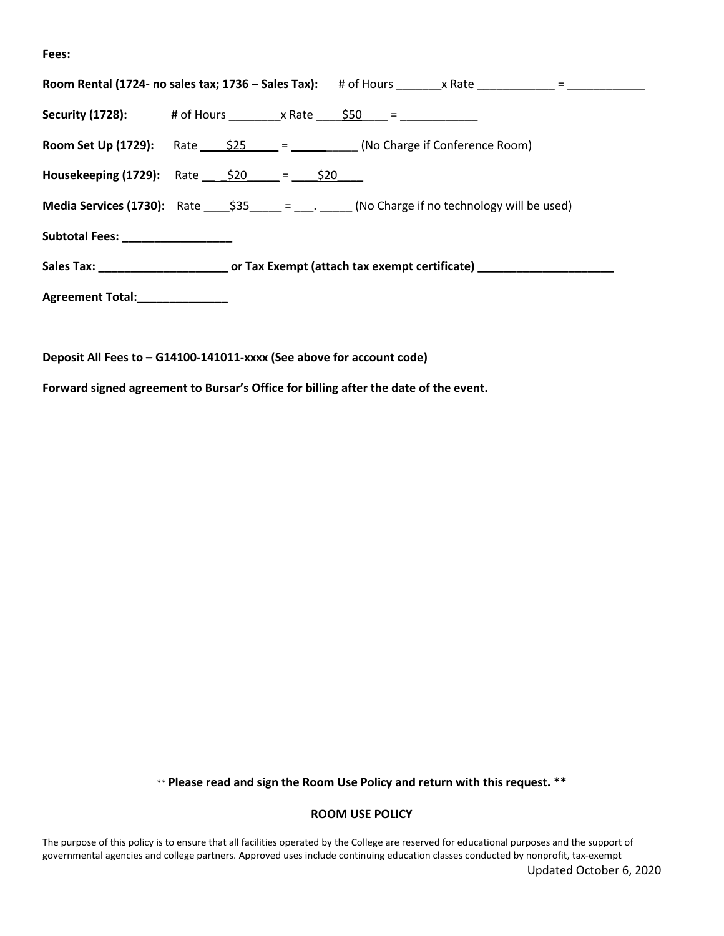**Fees:**

| <b>Security (1728):</b> # of Hours x Rate $\frac{650}{100}$ =                                              |  |  |  |  |  |  |  |
|------------------------------------------------------------------------------------------------------------|--|--|--|--|--|--|--|
| <b>Room Set Up (1729):</b> Rate $\frac{$25}{25}$ = $\frac{25}{25}$ (No Charge if Conference Room)          |  |  |  |  |  |  |  |
| <b>Housekeeping (1729):</b> Rate $\frac{$20}{}$ = $\frac{$20}{}$                                           |  |  |  |  |  |  |  |
| <b>Media Services (1730):</b> Rate $\frac{$35}{2} = \frac{1}{2}$ (No Charge if no technology will be used) |  |  |  |  |  |  |  |
| Subtotal Fees: __________________                                                                          |  |  |  |  |  |  |  |
|                                                                                                            |  |  |  |  |  |  |  |
| Agreement Total: _____________                                                                             |  |  |  |  |  |  |  |
|                                                                                                            |  |  |  |  |  |  |  |

**Deposit All Fees to – G14100-141011-xxxx (See above for account code)**

**Forward signed agreement to Bursar's Office for billing after the date of the event.**

\*\* **Please read and sign the Room Use Policy and return with this request. \*\*** 

#### **ROOM USE POLICY**

Updated October 6, 2020 The purpose of this policy is to ensure that all facilities operated by the College are reserved for educational purposes and the support of governmental agencies and college partners. Approved uses include continuing education classes conducted by nonprofit, tax-exempt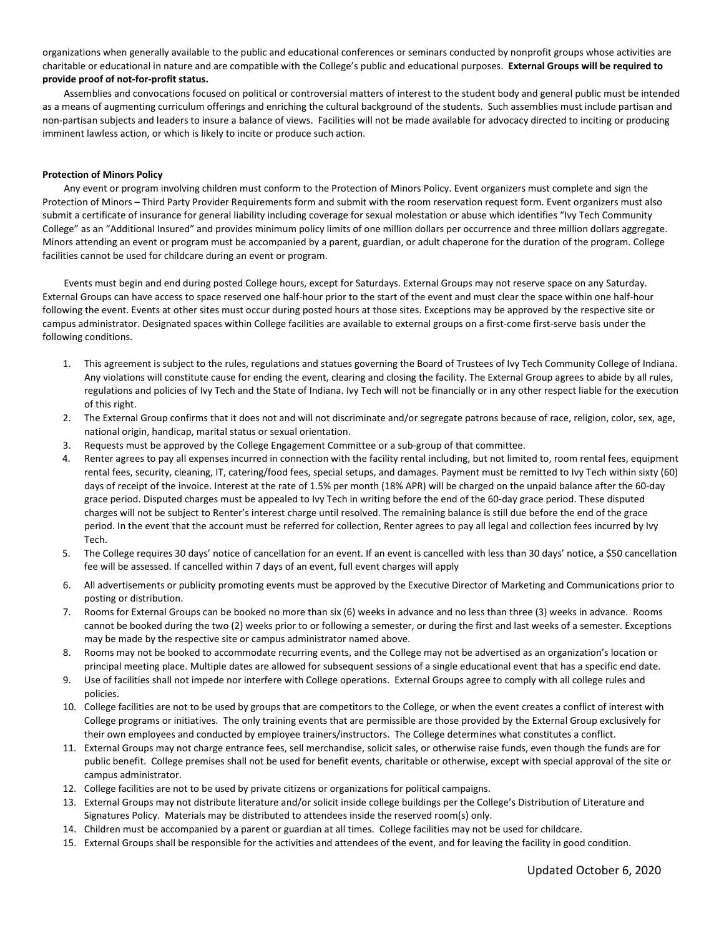organizations when generally available to the public and educational conferences or seminars conducted by nonprofit groups whose activities are charitable or educational in nature and are compatible with the College's public and educational purposes. **External Groups will be required to provide proof of not-for-profit status.** 

Assemblies and convocations focused on political or controversial matters of interest to the student body and general public must be intended as a means of augmenting curriculum offerings and enriching the cultural background of the students. Such assemblies must include partisan and non-partisan subjects and leaders to insure a balance of views. Facilities will not be made available for advocacy directed to inciting or producing imminent lawless action, or which is likely to incite or produce such action.

#### **Protection of Minors Policy**

Any event or program involving children must conform to the Protection of Minors Policy. Event organizers must complete and sign the Protection of Minors – Third Party Provider Requirements form and submit with the room reservation request form. Event organizers must also submit a certificate of insurance for general liability including coverage for sexual molestation or abuse which identifies "Ivy Tech Community College" as an "Additional Insured" and provides minimum policy limits of one million dollars per occurrence and three million dollars aggregate. Minors attending an event or program must be accompanied by a parent, guardian, or adult chaperone for the duration of the program. College facilities cannot be used for childcare during an event or program.

Events must begin and end during posted College hours, except for Saturdays. External Groups may not reserve space on any Saturday. External Groups can have access to space reserved one half-hour prior to the start of the event and must clear the space within one half-hour following the event. Events at other sites must occur during posted hours at those sites. Exceptions may be approved by the respective site or campus administrator. Designated spaces within College facilities are available to external groups on a first-come first-serve basis under the following conditions.

- 1. This agreement is subject to the rules, regulations and statues governing the Board of Trustees of Ivy Tech Community College of Indiana. Any violations will constitute cause for ending the event, clearing and closing the facility. The External Group agrees to abide by all rules, regulations and policies of Ivy Tech and the State of Indiana. Ivy Tech will not be financially or in any other respect liable for the execution of this right.
- 2. The External Group confirms that it does not and will not discriminate and/or segregate patrons because of race, religion, color, sex, age, national origin, handicap, marital status or sexual orientation.
- 3. Requests must be approved by the College Engagement Committee or a sub-group of that committee.
- 4. Renter agrees to pay all expenses incurred in connection with the facility rental including, but not limited to, room rental fees, equipment rental fees, security, cleaning, IT, catering/food fees, special setups, and damages. Payment must be remitted to Ivy Tech within sixty (60) days of receipt of the invoice. Interest at the rate of 1.5% per month (18% APR) will be charged on the unpaid balance after the 60-day grace period. Disputed charges must be appealed to Ivy Tech in writing before the end of the 60-day grace period. These disputed charges will not be subject to Renter's interest charge until resolved. The remaining balance is still due before the end of the grace period. In the event that the account must be referred for collection, Renter agrees to pay all legal and collection fees incurred by Ivy Tech.
- 5. The College requires 30 days' notice of cancellation for an event. If an event is cancelled with less than 30 days' notice, a \$50 cancellation fee will be assessed. If cancelled within 7 days of an event, full event charges will apply
- 6. All advertisements or publicity promoting events must be approved by the Executive Director of Marketing and Communications prior to posting or distribution.
- 7. Rooms for External Groups can be booked no more than six (6) weeks in advance and no less than three (3) weeks in advance. Rooms cannot be booked during the two (2) weeks prior to or following a semester, or during the first and last weeks of a semester. Exceptions may be made by the respective site or campus administrator named above.
- 8. Rooms may not be booked to accommodate recurring events, and the College may not be advertised as an organization's location or principal meeting place. Multiple dates are allowed for subsequent sessions of a single educational event that has a specific end date.
- 9. Use of facilities shall not impede nor interfere with College operations. External Groups agree to comply with all college rules and policies.
- 10. College facilities are not to be used by groups that are competitors to the College, or when the event creates a conflict of interest with College programs or initiatives. The only training events that are permissible are those provided by the External Group exclusively for their own employees and conducted by employee trainers/instructors. The College determines what constitutes a conflict.
- 11. External Groups may not charge entrance fees, sell merchandise, solicit sales, or otherwise raise funds, even though the funds are for public benefit. College premises shall not be used for benefit events, charitable or otherwise, except with special approval of the site or campus administrator.
- 12. College facilities are not to be used by private citizens or organizations for political campaigns.
- 13. External Groups may not distribute literature and/or solicit inside college buildings per the College's Distribution of Literature and Signatures Policy. Materials may be distributed to attendees inside the reserved room(s) only.
- 14. Children must be accompanied by a parent or guardian at all times. College facilities may not be used for childcare.
- 15. External Groups shall be responsible for the activities and attendees of the event, and for leaving the facility in good condition.